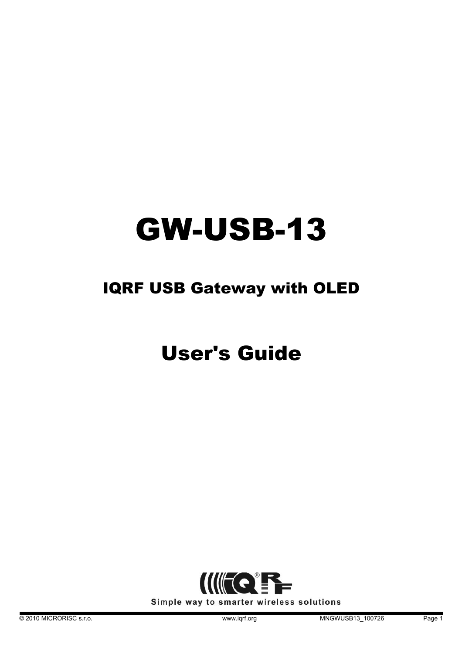# GW-USB-13

# IQRF USB Gateway with OLED

# User's Guide

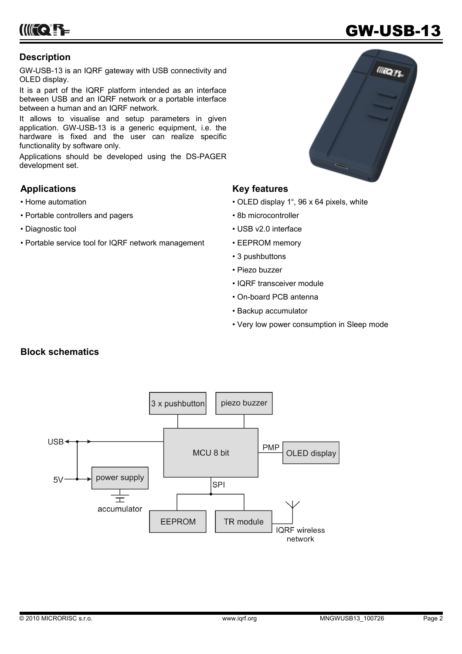**IIIIII QEEE** 

## GW-USB-13

### **Description**

GW-USB-13 is an IQRF gateway with USB connectivity and OLED display.

It is a part of the IQRF platform intended as an interface between USB and an IQRF network or a portable interface between a human and an IQRF network.

It allows to visualise and setup parameters in given application. GW-USB-13 is a generic equipment, i.e. the hardware is fixed and the user can realize specific functionality by software only.

Applications should be developed using the DS-PAGER development set.

### **Applications**

- Home automation
- Portable controllers and pagers
- Diagnostic tool
- Portable service tool for IQRF network management

# **Illion**

### **Key features**

- OLED display 1", 96 x 64 pixels, white
- 8b microcontroller
- USB v2.0 interface
- EEPROM memory
- 3 pushbuttons
- Piezo buzzer
- IQRF transceiver module
- On-board PCB antenna
- Backup accumulator
- Very low power consumption in Sleep mode

### **Block schematics**

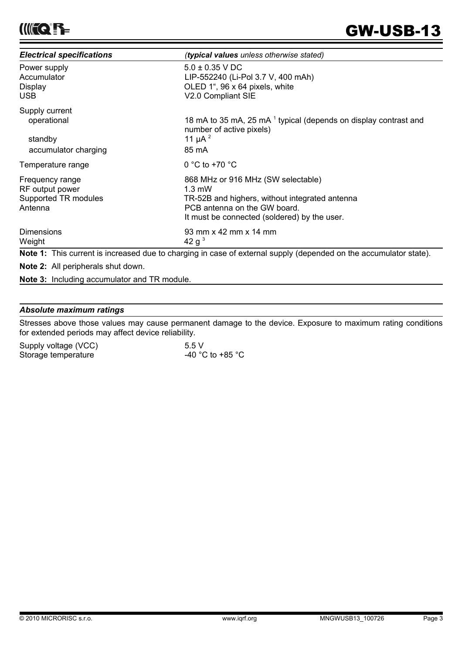| <b>Electrical specifications</b>                                      | (typical values unless otherwise stated)                                                                                                                                                 |  |
|-----------------------------------------------------------------------|------------------------------------------------------------------------------------------------------------------------------------------------------------------------------------------|--|
| Power supply                                                          | $5.0 \pm 0.35$ V DC                                                                                                                                                                      |  |
| Accumulator                                                           | LIP-552240 (Li-Pol 3.7 V, 400 mAh)                                                                                                                                                       |  |
| Display                                                               | OLED 1", 96 x 64 pixels, white                                                                                                                                                           |  |
| USB.                                                                  | V2.0 Compliant SIE                                                                                                                                                                       |  |
| Supply current                                                        | 18 mA to 35 mA, 25 mA 1 typical (depends on display contrast and                                                                                                                         |  |
| operational                                                           | number of active pixels)                                                                                                                                                                 |  |
| standby                                                               | 11 $\mu$ A $^{2}$                                                                                                                                                                        |  |
| accumulator charging                                                  | 85 mA                                                                                                                                                                                    |  |
| Temperature range                                                     | 0 °C to +70 $\degree$ C                                                                                                                                                                  |  |
| Frequency range<br>RF output power<br>Supported TR modules<br>Antenna | 868 MHz or 916 MHz (SW selectable)<br>$1.3 \text{ mW}$<br>TR-52B and highers, without integrated antenna<br>PCB antenna on the GW board.<br>It must be connected (soldered) by the user. |  |
| <b>Dimensions</b>                                                     | 93 mm x 42 mm x 14 mm                                                                                                                                                                    |  |
| Weight                                                                | 42 g <sup>3</sup>                                                                                                                                                                        |  |

**Note 1:** This current is increased due to charging in case of external supply (depended on the accumulator state).

**Note 2:** All peripherals shut down.

**Note 3:** Including accumulator and TR module.

### *Absolute maximum ratings*

Stresses above those values may cause permanent damage to the device. Exposure to maximum rating conditions for extended periods may affect device reliability.

| Supply voltage (VCC) | 5.5V             |  |  |
|----------------------|------------------|--|--|
| Storage temperature  | -40 °C to +85 °C |  |  |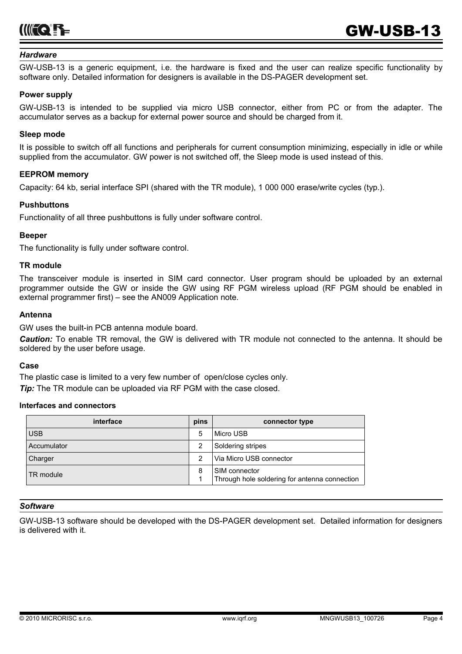

### *Hardware*

GW-USB-13 is a generic equipment, i.e. the hardware is fixed and the user can realize specific functionality by software only. Detailed information for designers is available in the DS-PAGER development set.

### **Power supply**

GW-USB-13 is intended to be supplied via micro USB connector, either from PC or from the adapter. The accumulator serves as a backup for external power source and should be charged from it.

### **Sleep mode**

It is possible to switch off all functions and peripherals for current consumption minimizing, especially in idle or while supplied from the accumulator. GW power is not switched off, the Sleep mode is used instead of this.

### **EEPROM memory**

Capacity: 64 kb, serial interface SPI (shared with the TR module), 1 000 000 erase/write cycles (typ.).

### **Pushbuttons**

Functionality of all three pushbuttons is fully under software control.

### **Beeper**

The functionality is fully under software control.

### **TR module**

The transceiver module is inserted in SIM card connector. User program should be uploaded by an external programmer outside the GW or inside the GW using RF PGM wireless upload (RF PGM should be enabled in external programmer first) – see the AN009 Application note.

### **Antenna**

GW uses the built-in PCB antenna module board.

*Caution:* To enable TR removal, the GW is delivered with TR module not connected to the antenna. It should be soldered by the user before usage.

### **Case**

The plastic case is limited to a very few number of open/close cycles only.

*Tip:* The TR module can be uploaded via RF PGM with the case closed.

### **Interfaces and connectors**

| interface   | pins | connector type                                                 |
|-------------|------|----------------------------------------------------------------|
| <b>USB</b>  | 5    | Micro USB                                                      |
| Accumulator |      | Soldering stripes                                              |
| Charger     | 2    | Via Micro USB connector                                        |
| TR module   | 8    | SIM connector<br>Through hole soldering for antenna connection |

### *Software*

GW-USB-13 software should be developed with the DS-PAGER development set. Detailed information for designers is delivered with it.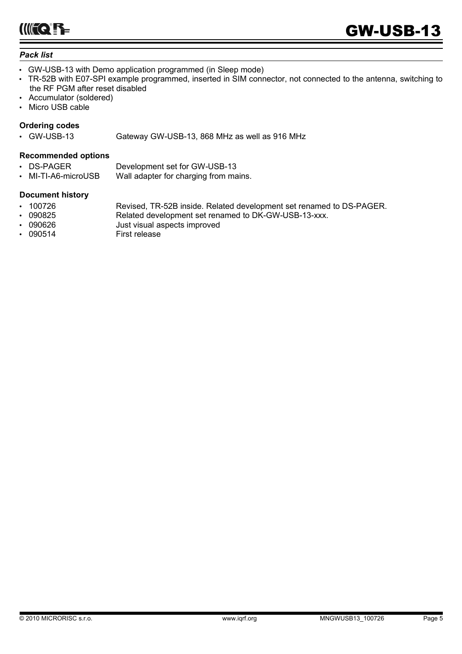IIII<del>I QEZ</del>

### *Pack list*

- GW-USB-13 with Demo application programmed (in Sleep mode)
- TR-52B with E07-SPI example programmed, inserted in SIM connector, not connected to the antenna, switching to the RF PGM after reset disabled
- Accumulator (soldered)
- Micro USB cable

### **Ordering codes**

• GW-USB-13 Gateway GW-USB-13, 868 MHz as well as 916 MHz

### **Recommended options**

- DS-PAGER Development set for GW-USB-13
- MI-TI-A6-microUSB Wall adapter for charging from mains.

### **Document history**

- 100726 Revised, TR-52B inside. Related development set renamed to DS-PAGER.
	- 090825 Related development set renamed to DK-GW-USB-13-xxx.
- 090626 Just visual aspects improved<br>090514 First release
- 090514 First release